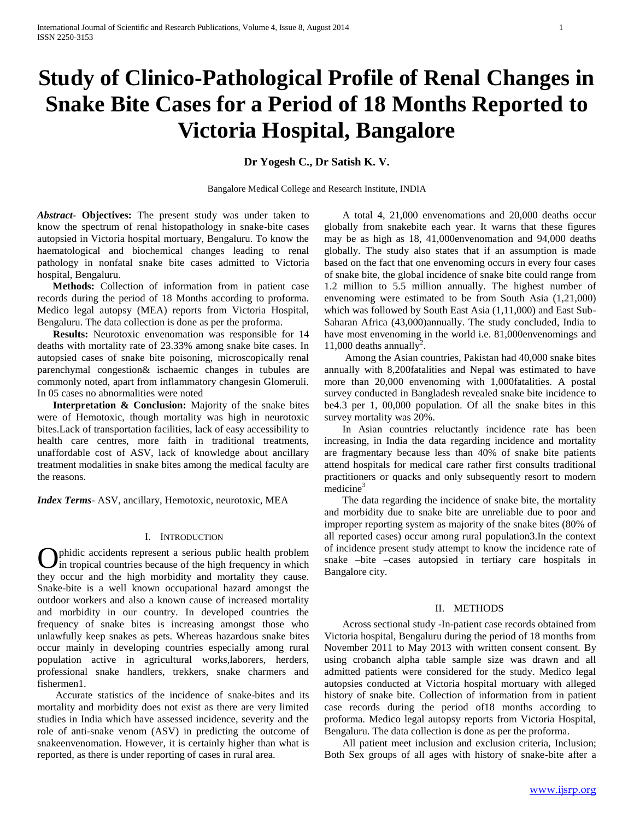# **Study of Clinico-Pathological Profile of Renal Changes in Snake Bite Cases for a Period of 18 Months Reported to Victoria Hospital, Bangalore**

**Dr Yogesh C., Dr Satish K. V.**

Bangalore Medical College and Research Institute, INDIA

*Abstract***- Objectives:** The present study was under taken to know the spectrum of renal histopathology in snake-bite cases autopsied in Victoria hospital mortuary, Bengaluru. To know the haematological and biochemical changes leading to renal pathology in nonfatal snake bite cases admitted to Victoria hospital, Bengaluru.

 **Methods:** Collection of information from in patient case records during the period of 18 Months according to proforma. Medico legal autopsy (MEA) reports from Victoria Hospital, Bengaluru. The data collection is done as per the proforma.

 **Results:** Neurotoxic envenomation was responsible for 14 deaths with mortality rate of 23.33% among snake bite cases. In autopsied cases of snake bite poisoning, microscopically renal parenchymal congestion& ischaemic changes in tubules are commonly noted, apart from inflammatory changesin Glomeruli. In 05 cases no abnormalities were noted

 **Interpretation & Conclusion:** Majority of the snake bites were of Hemotoxic, though mortality was high in neurotoxic bites.Lack of transportation facilities, lack of easy accessibility to health care centres, more faith in traditional treatments, unaffordable cost of ASV, lack of knowledge about ancillary treatment modalities in snake bites among the medical faculty are the reasons.

*Index Terms*- ASV, ancillary, Hemotoxic, neurotoxic, MEA

## I. INTRODUCTION

phidic accidents represent a serious public health problem in tropical countries because of the high frequency in which **C** phidic accidents represent a serious public health problem<br>they in tropical countries because of the high frequency in which<br>they occur and the high morbidity and mortality they cause. Snake-bite is a well known occupational hazard amongst the outdoor workers and also a known cause of increased mortality and morbidity in our country. In developed countries the frequency of snake bites is increasing amongst those who unlawfully keep snakes as pets. Whereas hazardous snake bites occur mainly in developing countries especially among rural population active in agricultural works,laborers, herders, professional snake handlers, trekkers, snake charmers and fishermen1.

 Accurate statistics of the incidence of snake-bites and its mortality and morbidity does not exist as there are very limited studies in India which have assessed incidence, severity and the role of anti-snake venom (ASV) in predicting the outcome of snakeenvenomation. However, it is certainly higher than what is reported, as there is under reporting of cases in rural area.

 A total 4, 21,000 envenomations and 20,000 deaths occur globally from snakebite each year. It warns that these figures may be as high as 18, 41,000envenomation and 94,000 deaths globally. The study also states that if an assumption is made based on the fact that one envenoming occurs in every four cases of snake bite, the global incidence of snake bite could range from 1.2 million to 5.5 million annually. The highest number of envenoming were estimated to be from South Asia (1,21,000) which was followed by South East Asia (1,11,000) and East Sub-Saharan Africa (43,000)annually. The study concluded, India to have most envenoming in the world i.e. 81,000envenomings and 11,000 deaths annually<sup>2</sup>.

 Among the Asian countries, Pakistan had 40,000 snake bites annually with 8,200fatalities and Nepal was estimated to have more than 20,000 envenoming with 1,000fatalities. A postal survey conducted in Bangladesh revealed snake bite incidence to be4.3 per 1, 00,000 population. Of all the snake bites in this survey mortality was 20%.

 In Asian countries reluctantly incidence rate has been increasing, in India the data regarding incidence and mortality are fragmentary because less than 40% of snake bite patients attend hospitals for medical care rather first consults traditional practitioners or quacks and only subsequently resort to modern medicine<sup>3</sup>

 The data regarding the incidence of snake bite, the mortality and morbidity due to snake bite are unreliable due to poor and improper reporting system as majority of the snake bites (80% of all reported cases) occur among rural population3.In the context of incidence present study attempt to know the incidence rate of snake –bite –cases autopsied in tertiary care hospitals in Bangalore city.

# II. METHODS

 Across sectional study -In-patient case records obtained from Victoria hospital, Bengaluru during the period of 18 months from November 2011 to May 2013 with written consent consent. By using crobanch alpha table sample size was drawn and all admitted patients were considered for the study. Medico legal autopsies conducted at Victoria hospital mortuary with alleged history of snake bite. Collection of information from in patient case records during the period of18 months according to proforma. Medico legal autopsy reports from Victoria Hospital, Bengaluru. The data collection is done as per the proforma.

 All patient meet inclusion and exclusion criteria, Inclusion; Both Sex groups of all ages with history of snake-bite after a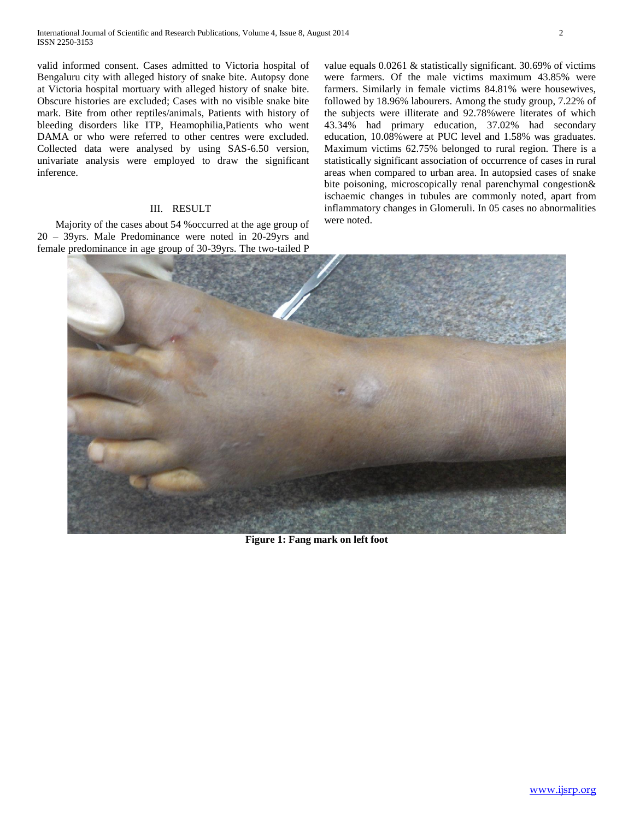valid informed consent. Cases admitted to Victoria hospital of Bengaluru city with alleged history of snake bite. Autopsy done at Victoria hospital mortuary with alleged history of snake bite. Obscure histories are excluded; Cases with no visible snake bite mark. Bite from other reptiles/animals, Patients with history of bleeding disorders like ITP, Heamophilia,Patients who went DAMA or who were referred to other centres were excluded. Collected data were analysed by using SAS-6.50 version, univariate analysis were employed to draw the significant inference.

### III. RESULT

 Majority of the cases about 54 %occurred at the age group of 20 – 39yrs. Male Predominance were noted in 20-29yrs and female predominance in age group of 30-39yrs. The two-tailed P value equals 0.0261 & statistically significant. 30.69% of victims were farmers. Of the male victims maximum 43.85% were farmers. Similarly in female victims 84.81% were housewives, followed by 18.96% labourers. Among the study group, 7.22% of the subjects were illiterate and 92.78%were literates of which 43.34% had primary education, 37.02% had secondary education, 10.08%were at PUC level and 1.58% was graduates. Maximum victims 62.75% belonged to rural region. There is a statistically significant association of occurrence of cases in rural areas when compared to urban area. In autopsied cases of snake bite poisoning, microscopically renal parenchymal congestion& ischaemic changes in tubules are commonly noted, apart from inflammatory changes in Glomeruli. In 05 cases no abnormalities were noted.



**Figure 1: Fang mark on left foot**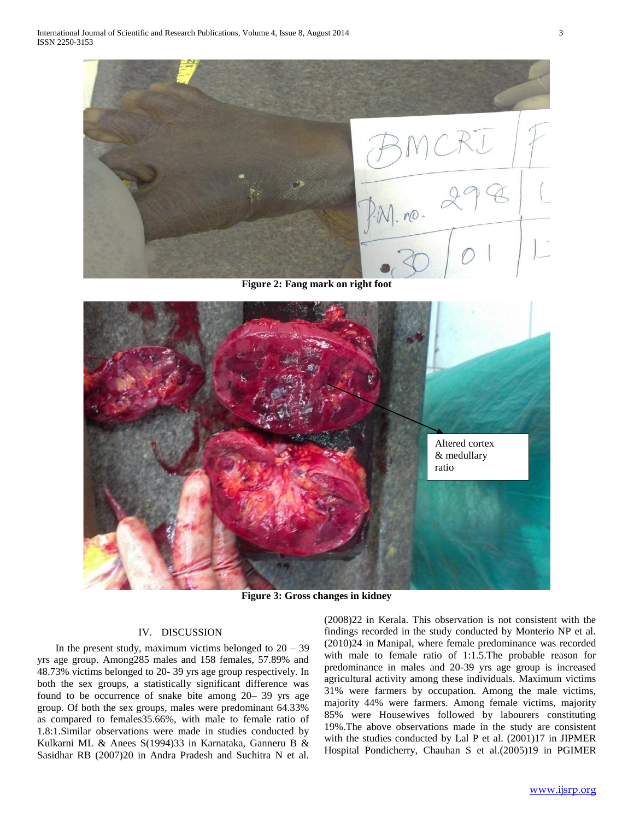

**Figure 2: Fang mark on right foot**



**Figure 3: Gross changes in kidney**

# IV. DISCUSSION

In the present study, maximum victims belonged to  $20 - 39$ yrs age group. Among285 males and 158 females, 57.89% and 48.73% victims belonged to 20- 39 yrs age group respectively. In both the sex groups, a statistically significant difference was found to be occurrence of snake bite among 20– 39 yrs age group. Of both the sex groups, males were predominant 64.33% as compared to females35.66%, with male to female ratio of 1.8:1.Similar observations were made in studies conducted by Kulkarni ML & Anees S(1994)33 in Karnataka, Ganneru B & Sasidhar RB (2007)20 in Andra Pradesh and Suchitra N et al.

(2008)22 in Kerala. This observation is not consistent with the findings recorded in the study conducted by Monterio NP et al. (2010)24 in Manipal, where female predominance was recorded with male to female ratio of 1:1.5.The probable reason for predominance in males and 20-39 yrs age group is increased agricultural activity among these individuals. Maximum victims 31% were farmers by occupation. Among the male victims, majority 44% were farmers. Among female victims, majority 85% were Housewives followed by labourers constituting 19%.The above observations made in the study are consistent with the studies conducted by Lal P et al. (2001)17 in JIPMER Hospital Pondicherry, Chauhan S et al.(2005)19 in PGIMER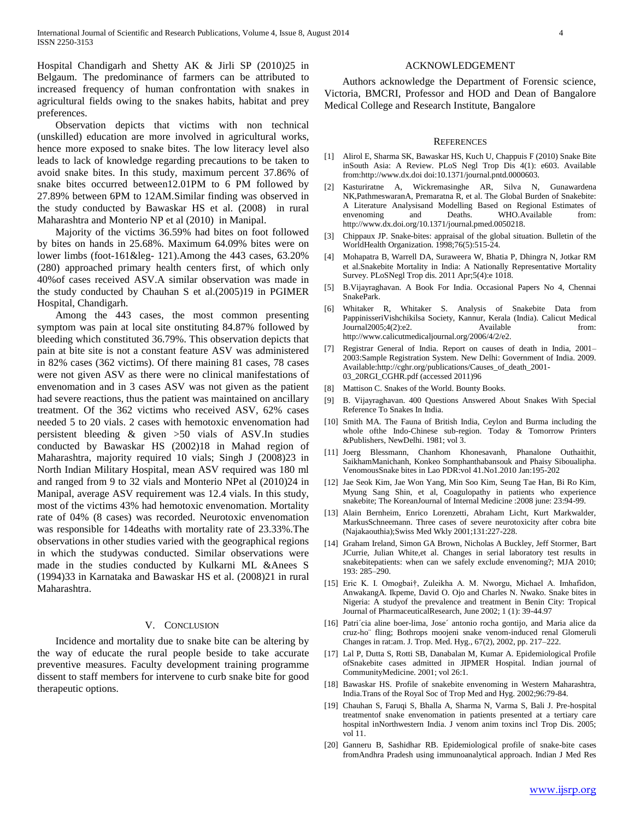Hospital Chandigarh and Shetty AK & Jirli SP (2010)25 in Belgaum. The predominance of farmers can be attributed to increased frequency of human confrontation with snakes in agricultural fields owing to the snakes habits, habitat and prey preferences.

 Observation depicts that victims with non technical (unskilled) education are more involved in agricultural works, hence more exposed to snake bites. The low literacy level also leads to lack of knowledge regarding precautions to be taken to avoid snake bites. In this study, maximum percent 37.86% of snake bites occurred between12.01PM to 6 PM followed by 27.89% between 6PM to 12AM.Similar finding was observed in the study conducted by Bawaskar HS et al. (2008) in rural Maharashtra and Monterio NP et al (2010) in Manipal.

 Majority of the victims 36.59% had bites on foot followed by bites on hands in 25.68%. Maximum 64.09% bites were on lower limbs (foot-161&leg- 121).Among the 443 cases, 63.20% (280) approached primary health centers first, of which only 40%of cases received ASV.A similar observation was made in the study conducted by Chauhan S et al.(2005)19 in PGIMER Hospital, Chandigarh.

 Among the 443 cases, the most common presenting symptom was pain at local site onstituting 84.87% followed by bleeding which constituted 36.79%. This observation depicts that pain at bite site is not a constant feature ASV was administered in 82% cases (362 victims). Of there maining 81 cases, 78 cases were not given ASV as there were no clinical manifestations of envenomation and in 3 cases ASV was not given as the patient had severe reactions, thus the patient was maintained on ancillary treatment. Of the 362 victims who received ASV, 62% cases needed 5 to 20 vials. 2 cases with hemotoxic envenomation had persistent bleeding & given >50 vials of ASV.In studies conducted by Bawaskar HS (2002)18 in Mahad region of Maharashtra, majority required 10 vials; Singh J (2008)23 in North Indian Military Hospital, mean ASV required was 180 ml and ranged from 9 to 32 vials and Monterio NPet al (2010)24 in Manipal, average ASV requirement was 12.4 vials. In this study, most of the victims 43% had hemotoxic envenomation. Mortality rate of 04% (8 cases) was recorded. Neurotoxic envenomation was responsible for 14deaths with mortality rate of 23.33%.The observations in other studies varied with the geographical regions in which the studywas conducted. Similar observations were made in the studies conducted by Kulkarni ML &Anees S (1994)33 in Karnataka and Bawaskar HS et al. (2008)21 in rural Maharashtra.

### V. CONCLUSION

 Incidence and mortality due to snake bite can be altering by the way of educate the rural people beside to take accurate preventive measures. Faculty development training programme dissent to staff members for intervene to curb snake bite for good therapeutic options.

## ACKNOWLEDGEMENT

 Authors acknowledge the Department of Forensic science, Victoria, BMCRI, Professor and HOD and Dean of Bangalore Medical College and Research Institute, Bangalore

#### **REFERENCES**

- [1] Alirol E, Sharma SK, Bawaskar HS, Kuch U, Chappuis F (2010) Snake Bite inSouth Asia: A Review. PLoS Negl Trop Dis 4(1): e603. Available from:http://www.dx.doi doi:10.1371/journal.pntd.0000603.
- [2] Kasturiratne A, Wickremasinghe AR, Silva N, Gunawardena NK,PathmeswaranA, Premaratna R, et al. The Global Burden of Snakebite: A Literature Analysisand Modelling Based on Regional Estimates of envenoming and Deaths. WHO.Available from: http://www.dx.doi.org/10.1371/journal.pmed.0050218.
- [3] Chippaux JP. Snake-bites: appraisal of the global situation. Bulletin of the WorldHealth Organization. 1998;76(5):515-24.
- [4] Mohapatra B, Warrell DA, Suraweera W, Bhatia P, Dhingra N, Jotkar RM et al.Snakebite Mortality in India: A Nationally Representative Mortality Survey. PLoSNegl Trop dis. 2011 Apr;5(4):e 1018.
- [5] B.Vijayraghavan. A Book For India. Occasional Papers No 4, Chennai SnakePark.
- [6] Whitaker R, Whitaker S. Analysis of Snakebite Data from PappinisseriVishchikilsa Society, Kannur, Kerala (India). Calicut Medical Journal2005;4(2):e2. Available from: http://www.calicutmedicaljournal.org/2006/4/2/e2.
- [7] Registrar General of India. Report on causes of death in India, 2001– 2003:Sample Registration System. New Delhi: Government of India. 2009. Available:http://cghr.org/publications/Causes\_of\_death\_2001- 03\_20RGI\_CGHR.pdf (accessed 2011)96
- [8] Mattison C. Snakes of the World. Bounty Books.
- [9] B. Vijayraghavan. 400 Questions Answered About Snakes With Special Reference To Snakes In India.
- [10] Smith MA. The Fauna of British India, Ceylon and Burma including the whole ofthe Indo-Chinese sub-region. Today & Tomorrow Printers &Publishers, NewDelhi. 1981; vol 3.
- [11] Joerg Blessmann, Chanhom Khonesavanh, Phanalone Outhaithit, SaikhamManichanh, Konkeo Somphanthabansouk and Phaisy Siboualipha. VenomousSnake bites in Lao PDR:vol 41.No1.2010 Jan:195-202
- [12] Jae Seok Kim, Jae Won Yang, Min Soo Kim, Seung Tae Han, Bi Ro Kim, Myung Sang Shin, et al, Coagulopathy in patients who experience snakebite; The KoreanJournal of Internal Medicine :2008 june: 23:94-99.
- [13] Alain Bernheim, Enrico Lorenzetti, Abraham Licht, Kurt Markwalder, MarkusSchneemann. Three cases of severe neurotoxicity after cobra bite (Najakaouthia);Swiss Med Wkly 2001;131:227-228.
- [14] Graham Ireland, Simon GA Brown, Nicholas A Buckley, Jeff Stormer, Bart JCurrie, Julian White,et al. Changes in serial laboratory test results in snakebitepatients: when can we safely exclude envenoming?; MJA 2010; 193: 285–290.
- [15] Eric K. I. Omogbai†, Zuleikha A. M. Nworgu, Michael A. Imhafidon, AnwakangA. Ikpeme, David O. Ojo and Charles N. Nwako. Snake bites in Nigeria: A studyof the prevalence and treatment in Benin City: Tropical Journal of PharmaceuticalResearch, June 2002; 1 (1): 39-44.97
- [16] Patri´cia aline boer-lima, Jose´ antonio rocha gontijo, and Maria alice da cruz-ho¨ fling; Bothrops moojeni snake venom-induced renal Glomeruli Changes in rat:am. J. Trop. Med. Hyg., 67(2), 2002, pp. 217–222.
- [17] Lal P, Dutta S, Rotti SB, Danabalan M, Kumar A. Epidemiological Profile ofSnakebite cases admitted in JIPMER Hospital. Indian journal of CommunityMedicine. 2001; vol 26:1.
- [18] Bawaskar HS. Profile of snakebite envenoming in Western Maharashtra, India.Trans of the Royal Soc of Trop Med and Hyg. 2002;96:79-84.
- [19] Chauhan S, Faruqi S, Bhalla A, Sharma N, Varma S, Bali J. Pre-hospital treatmentof snake envenomation in patients presented at a tertiary care hospital inNorthwestern India. J venom anim toxins incl Trop Dis. 2005; vol 11.
- [20] Ganneru B, Sashidhar RB. Epidemiological profile of snake-bite cases fromAndhra Pradesh using immunoanalytical approach. Indian J Med Res